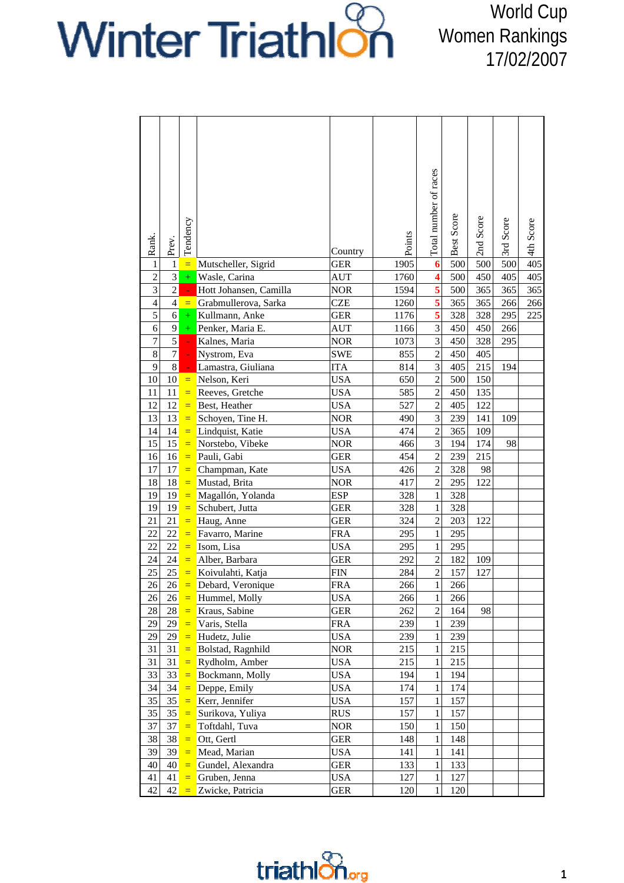## Winter Triathlon

World Cup Women Rankings 17/02/2007

|                  |                |               |                        |            |        | Total number of races   |            |              |           |           |
|------------------|----------------|---------------|------------------------|------------|--------|-------------------------|------------|--------------|-----------|-----------|
| Rank.            | Prev.          | Tendency      |                        | Country    | Points |                         | Best Score | Score<br>2nd | 3rd Score | 4th Score |
| $\mathbf{1}$     | $\mathbf{1}$   | $\equiv$      | Mutscheller, Sigrid    | <b>GER</b> | 1905   | $\boldsymbol{6}$        | 500        | 500          | 500       | 405       |
| $\overline{c}$   | $\overline{3}$ | $\pm$         | Wasle, Carina          | AUT        | 1760   | $\overline{\mathbf{4}}$ | 500        | 450          | 405       | 405       |
| $\overline{3}$   | $\overline{2}$ | $\omega$      | Hott Johansen, Camilla | <b>NOR</b> | 1594   | $\overline{\mathbf{5}}$ | 500        | 365          | 365       | 365       |
| $\overline{4}$   | $\overline{4}$ | $\equiv$      | Grabmullerova, Sarka   | <b>CZE</b> | 1260   | $\overline{\mathbf{5}}$ | 365        | 365          | 266       | 266       |
| 5                | $\overline{6}$ | $+$           | Kullmann, Anke         | <b>GER</b> | 1176   | $\overline{\mathbf{5}}$ | 328        | 328          | 295       | 225       |
| 6                | 9              | $+$           | Penker, Maria E.       | <b>AUT</b> | 1166   | 3                       | 450        | 450          | 266       |           |
| $\boldsymbol{7}$ | 5              | $\mathcal{L}$ | Kalnes, Maria          | <b>NOR</b> | 1073   | 3                       | 450        | 328          | 295       |           |
| 8                | $\overline{7}$ |               | Nystrom, Eva           | <b>SWE</b> | 855    | $\overline{2}$          | 450        | 405          |           |           |
| 9                | $\overline{8}$ |               | Lamastra, Giuliana     | <b>ITA</b> | 814    | $\overline{3}$          | 405        | 215          | 194       |           |
| 10               | 10             | $\equiv$      | Nelson, Keri           | <b>USA</b> | 650    | $\overline{c}$          | 500        | 150          |           |           |
| 11               | $11\,$         | $\equiv$      | Reeves, Gretche        | <b>USA</b> | 585    | $\overline{c}$          | 450        | 135          |           |           |
| 12               | 12             | $\equiv$      | Best, Heather          | <b>USA</b> | 527    | $\overline{2}$          | 405        | 122          |           |           |
| 13               | 13             | $=$           | Schoyen, Tine H.       | <b>NOR</b> | 490    | 3                       | 239        | 141          | 109       |           |
| 14               | 14             | $\equiv$      | Lindquist, Katie       | <b>USA</b> | 474    | $\overline{2}$          | 365        | 109          |           |           |
| 15               | 15             | $\equiv$      | Norstebo, Vibeke       | <b>NOR</b> | 466    | 3                       | 194        | 174          | 98        |           |
| 16               | 16             | $\equiv$      | Pauli, Gabi            | <b>GER</b> | 454    | $\overline{2}$          | 239        | 215          |           |           |
| 17               | 17             | $\equiv$      | Champman, Kate         | <b>USA</b> | 426    | $\overline{2}$          | 328        | 98           |           |           |
| 18               | 18             | $\equiv$      | Mustad, Brita          | <b>NOR</b> | 417    | $\overline{2}$          | 295        | 122          |           |           |
| 19               | 19             | $\equiv$      | Magallón, Yolanda      | <b>ESP</b> | 328    | 1                       | 328        |              |           |           |
| 19               | 19             | $\equiv$      | Schubert, Jutta        | GER        | 328    | 1                       | 328        |              |           |           |
| 21               | 21             | $\equiv$      | Haug, Anne             | <b>GER</b> | 324    | $\overline{2}$          | 203        | 122          |           |           |
| 22               | 22             | $\equiv$      | Favarro, Marine        | <b>FRA</b> | 295    | 1                       | 295        |              |           |           |
| 22               | 22             | $\equiv$      | Isom, Lisa             | <b>USA</b> | 295    | $\mathbf{1}$            | 295        |              |           |           |
| 24               | 24             | $=$           | Alber, Barbara         | <b>GER</b> | 292    | $\overline{2}$          | 182        | 109          |           |           |
| 25               | 25             | $=$           | Koivulahti, Katja      | <b>FIN</b> | 284    | $\overline{2}$          | 157        | 127          |           |           |
| 26               | 26             | $\equiv$      | Debard, Veronique      | <b>FRA</b> | 266    | $\mathbf{1}$            | 266        |              |           |           |
| 26               | 26             | $\equiv$      | Hummel, Molly          | <b>USA</b> | 266    | $\mathbf{1}$            | 266        |              |           |           |
| $28\,$           | $28\,$         | $\equiv$      | Kraus, Sabine          | <b>GER</b> | 262    | $\overline{2}$          | 164        | 98           |           |           |
| 29               | 29             | $\equiv$      | Varis, Stella          | <b>FRA</b> | 239    | $\mathbf{1}$            | 239        |              |           |           |
| 29               | 29             | $\equiv$      | Hudetz, Julie          | <b>USA</b> | 239    | $\mathbf{1}$            | 239        |              |           |           |
| 31               | 31             | $=$           | Bolstad, Ragnhild      | <b>NOR</b> | 215    | $\mathbf{1}$            | 215        |              |           |           |
| 31               | 31             | $=$           | Rydholm, Amber         | <b>USA</b> | 215    | 1                       | 215        |              |           |           |
| 33               | 33             | $\equiv$      | Bockmann, Molly        | <b>USA</b> | 194    | 1                       | 194        |              |           |           |
| 34               | 34             | $\equiv$      | Deppe, Emily           | <b>USA</b> | 174    | 1                       | 174        |              |           |           |
| 35               | 35             | $\equiv$      | Kerr, Jennifer         | <b>USA</b> | 157    | $\mathbf{1}$            | 157        |              |           |           |
| 35               | 35             | $\equiv$      | Surikova, Yuliya       | <b>RUS</b> | 157    | $\mathbf{1}$            | 157        |              |           |           |
| 37               | 37             | $=$           | Toftdahl, Tuva         | <b>NOR</b> | 150    | $\mathbf{1}$            | 150        |              |           |           |
| 38               | 38             | $\equiv$      | Ott, Gertl             | GER        | 148    | 1                       | 148        |              |           |           |
| 39               | 39             | $\equiv$      | Mead, Marian           | USA        | 141    | 1                       | 141        |              |           |           |
| 40               | 40             | $\equiv$      | Gundel, Alexandra      | GER        | 133    | 1                       | 133        |              |           |           |
| 41               | 41             | $\equiv$      | Gruben, Jenna          | <b>USA</b> | 127    | 1                       | 127        |              |           |           |
| 42               | 42             | $\equiv$      | Zwicke, Patricia       | GER        | 120    | 1                       | 120        |              |           |           |